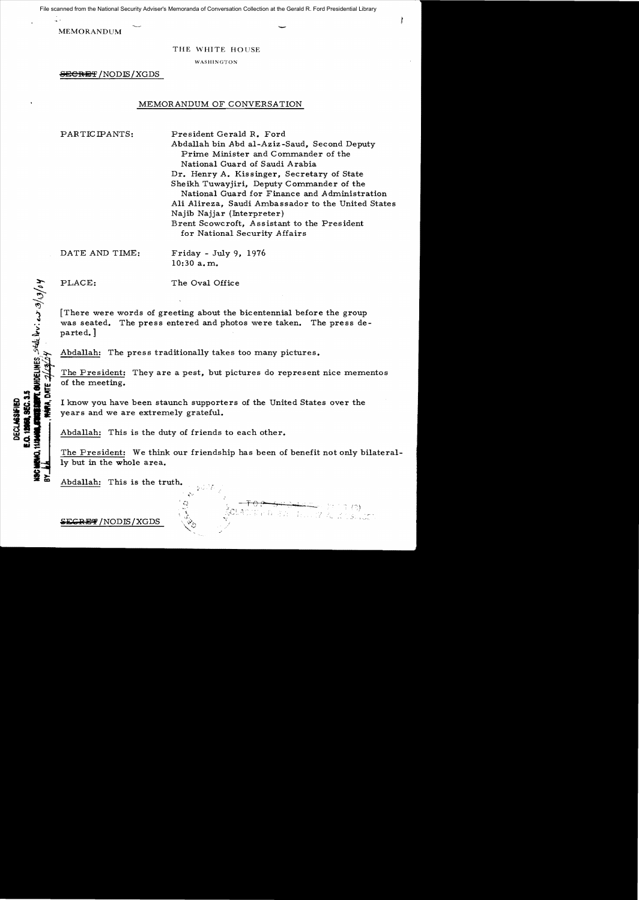File scanned from the National Security Adviser's Memoranda of Conversation Collection at the Gerald R. Ford Presidential Library

MEMORANDUM

## THE WHITE HOUSE

WASHINGTON

**SECRET / NODIS / XGDS** 

## MEMORANDUM OF CONVERSATION

PARTICIPANTS: President Gerald R. Ford Abdallah bin Abd a1-Aziz-Saud, Second Deputy Prime Minister and Commander of the National Guard of Saudi Arabia Dr. Henry A. Kissinger, Secretary of State Sheikh Tuwayjiri, Deputy Commander of the National Guard for Finance and Administration Ali Alireza, Saudi Ambassador to the United States Najib Najjar (Interpreter) Brent Scowcroft, Assistant to the President for National Security Affairs

DATE AND TIME:

10: 30 a. m.  $Friday - July 9, 1976$ 

**ROWDELINES**, seed lovi es 3/13/04

**12. SEC. 3.** 

**DECLASSIFIED** 

PLACE: The Oval Office

[There were words of greeting about the bicentennial before the group was seated. The press entered and photos were taken. The press departed. ]

Abdallah: The press traditionally takes too many pictures.

The President: They are a pest, but pictures do represent nice mementos of the meeting.

I know you have been staunch supporters of the United States over the years and we are extremely grateful.

Abdallah: This is the duty of friends to each other.

The President: We think our friendship has been of benefit not only bilaterally but in the whole area.

Nen sa

, .

 $\mathcal{P} \mapsto \mathcal{P} \cup \mathcal{P}$ 

Abdallah: This is the truth.

 ${^\mathrm{SFCR}}$  and  ${^\mathrm{SFCR}}$  and  ${^\mathrm{SFCR}}$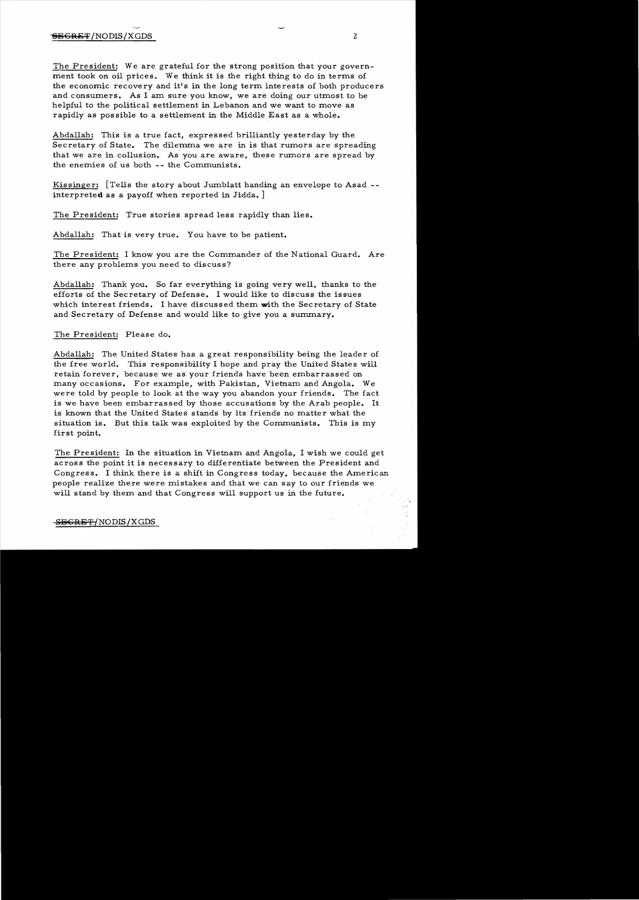The President: We are grateful for the strong position that your government took on oil prices. We think it is the right thing to do in terms of the economic recovery and it's in the long term interests of both producers and consumers. As I am sure you know, we are doing our utmost to be helpful to the political settlement in Lebanon and we want to move as rapidly as possible to a settlement in the Middle East as a whole.

Abdallah: This is a true fact, expressed brilliantly yesterday by the Secretary of State. The dilemma we are in is that rumors are spreading that we are in collusion. As you are aware, these rumors are spread by the enemies of us both -- the Communists.

Kissinger: [Tells the story about Jumblatt handing an envelope to Asad -interpreted as a payoff when reported in Jidda. ]

The President: True stories spread less rapidly than lies.

Abdallah: That is very true. You have to be patient.

The President: I know you are the Commander of the National Guard. Are there any problems you need to discuss?

Abdallah: Thank you. So far everything is going very well, thanks to the efforts of the Secretary of Defense. I would like to discuss the issues which interest friends. I have discussed them with the Secretary of State and Secretary of Defense and would like to give you a summary.

The President: Please do.

Abdallah: The United States has a great responsibility being the leader of the free world. This responsibility I hope and pray the United States will retain forever, because we as your friends have been embarrassed on many occasions. For example, with Pakistan, Vietnam and Angola. We were told by people to look at the way you abandon your friends. The fact is we have been embarrassed by those accusations by the Arab people. It is known that the United States stands by its friends no matter what the situation is. But this talk was exploited by the Communists. This is my first point.

The President: In the situation in Vietnam and Angola, I wish we could get across the point it is necessary to differentiate between the President and Congress. I think there is a shift in Congress today, because the American people realize there were mistakes and that we can say to our friends we will stand by them and that Congress will support us in the future.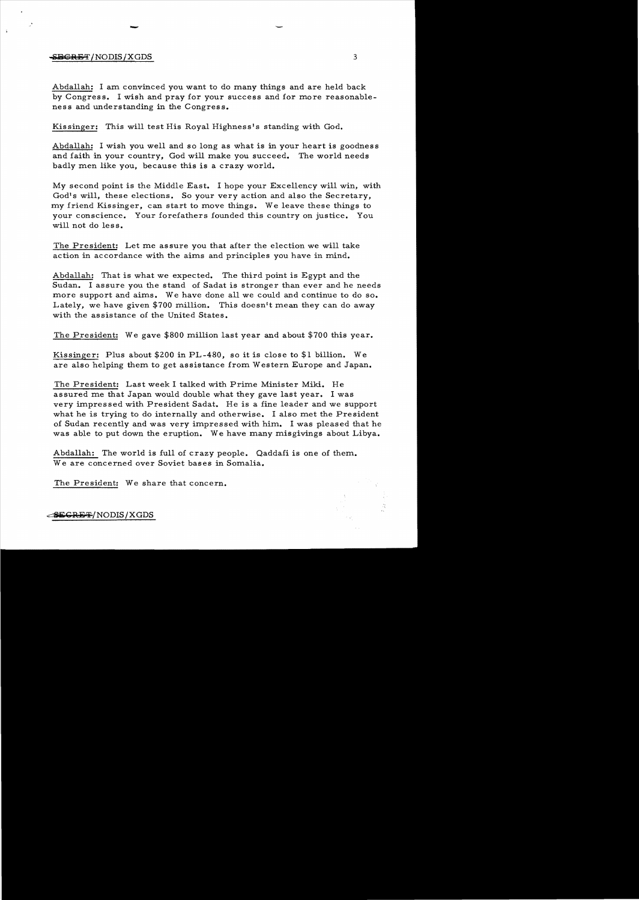## $-$ <del>SECRET</del>/NODIS/XGDS 3

-

Abdallah: I am convinced you want to do many things and are held back by Congress. I wish and pray for your success and for more reasonableness and understanding in the Congress.

Kissinger: This will test His Royal Highness's standing with God.

Abdallah: I wish you well and so long as what is in your heart is goodness and faith in your country, God will make you succeed. The world needs badly men like you, because this is a crazy world.

My second point is the Middle East. I hope your Excellency will win, with God's will, these elections. So your very action and also the Secretary, my friend Kissinger, can start to move things. We leave these things to your conscience. Your forefathers founded this country on justice. You will not do less.

The President: Let me assure you that after the election we will take action in accordance with the aims and principles you have in mind.

Abdallah: That is what we expected. The third point is Egypt and the Sudan. I assure you the stand of Sadat is stronger than ever and he needs more support and aims. We have done all we could and continue to do so. Lately, we have given \$700 million. This doesn't mean they can do away with the assistance of the United States.

The President: We gave \$800 million last year and about \$700 this year.

Kissinger: Plus about \$200 in PL-480, so it is close to \$1 billion. We are also helping them to get assistance from Western Europe and Japan.

The President: Last week I talked with Prime Minister Miki. He assured me that Japan would double what they gave last year. I was very impressed with President Sadat. He is a fine leader and we support what he is trying to do internally and otherwise. I also met the President of Sudan recently and was very impressed with him. I was pleased that he was able to put down the eruption. We have many misgivings about Libya.

Abdallah: The world is full of crazy people. Qaddafi is one of them. We are concerned over Soviet bases in Somalia.

The President: We share that concern.

~~RE~/NODIS/XGDS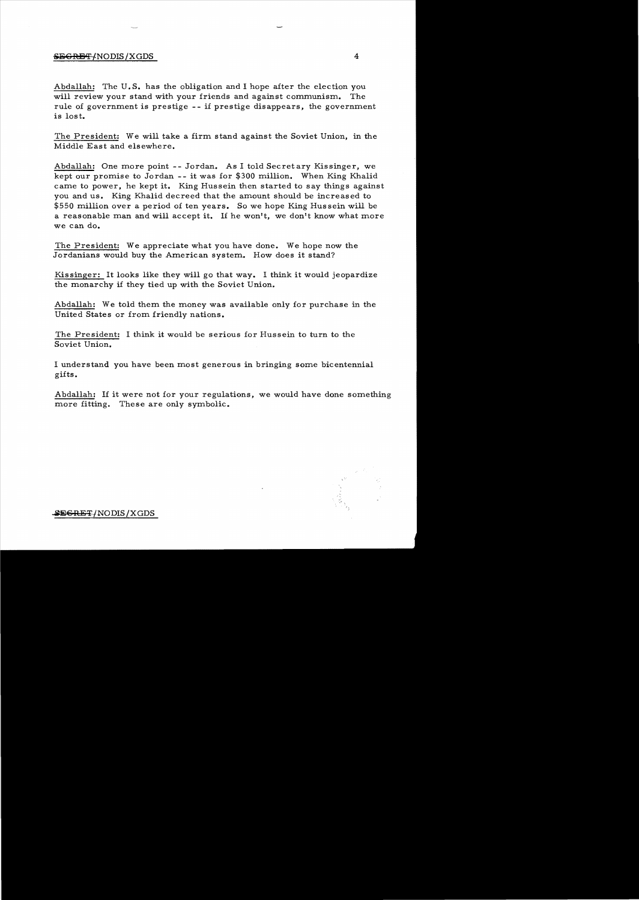## $\overline{\text{SEGREF}}$ /NODIS /XGDS 4

Abdallah: The U.S. has the obligation and I hope after the election you will review your stand with your friends and against communism. The rule of government is prestige -- if prestige disappears, the government is lost.

The President: We will take a firm stand against the Soviet Union, in the Middle East and elsewhere.

Abdallah: One more point -- Jordan. As I told Secretary Kissinger, we kept our promise to Jordan - - it was for \$300 million. When King Khalid came to power, he kept it. King Hussein then started to say things against you and us. King Khalid decreed that the amount should be increased to \$550 million over a period of ten years. So we hope King Hussein will be a reasonable man and will accept it. If he won't, we don't know what more we can do.

The President: We appreciate what you have done. We hope now the Jordanians would buy the American system. How does it stand?

Kis singer: It looks like they will go that way. I think it would jeopardize the monarchy if they tied up with the Soviet Union.

Abdallah: We told them the money was available only for purchase in the United States or from friendly nations.

The President: I think it would be serious for Hussein to turn to the Soviet Union.

I understand you have been most generous in bringing some bicentennial gifts.

Abdallah: If it were not for your regulations, we would have done something more fitting. These are only symbolic.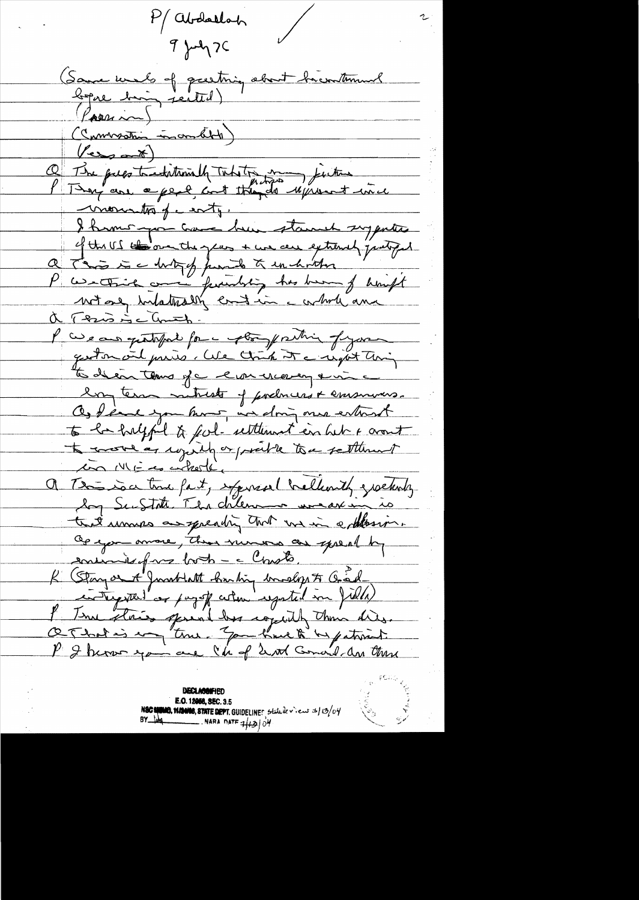P/ abdarloh  $9 \mu q$ (Same worls of greeting about hierutement Passim) (Commandan incondit)  $\sqrt{2}$ Q The pues traditionally Taketon many finitions on monatos party I hums you have been stand suggested of the US the one the gave + we are extendly putting a Trois is a dutof from to the wholeton " " "<br>P contains and function has been of high a Trisis Conth. l'avec aux quotofait forme estre province of your geston and paris. We think it a regist thing to de en tens je evernemen en e long term mituelt of podmers & emsurers. Os tears you have in doing once entered to be helpful to feel- retternet en bet & cront to source as reguly or prairie to a settlement a Tension tout part, exposed brellevith greetents that univers as speaking that we in ephonis. Operation amove, then numero are spread by ensuivir pas both - c Chasts K (Stayor A Jacob Latt Sanding American Fr Charles entry that or paysfe when regated in field. P Terre stores sprint has copiedly than dies. O That is ing "true " Jam have to be patriot.

**DECLASSIFIED** E.O. 12068, SEC. 3.5 NSC SHOWER, SHOWER, STATE DEPT. GUIDELINES Statule view 3/13/04 NARA DATE  $4|13|04$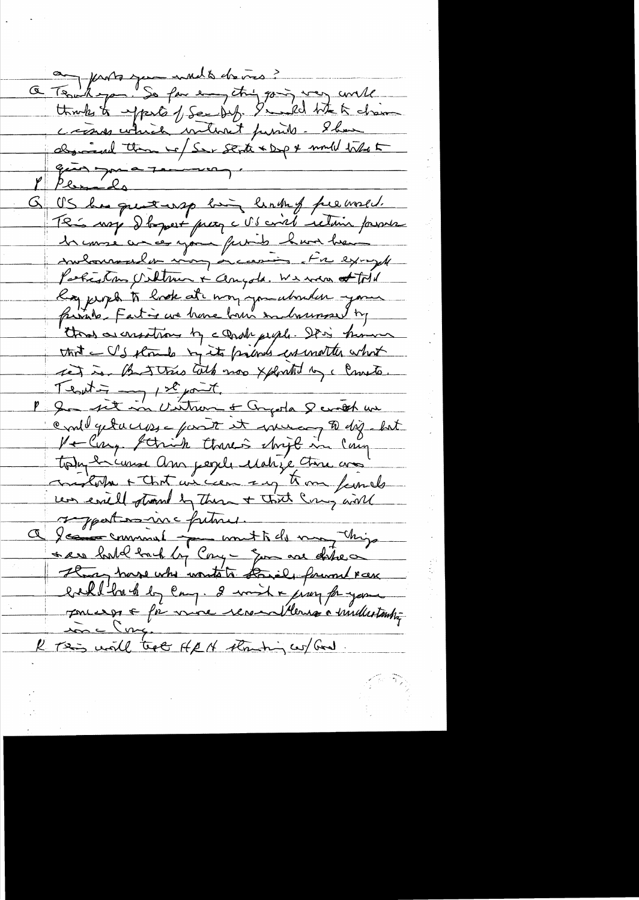a Tenhope de mediateurs? think to expect of See bif. I wild like to chain cross which without passible. Show desined than we Ser State + Dep & mould take to Please de US has quettersp him links freewald. This way I toppet presq c'il saint retain pourve Perfections Unknown + Congola. We were at told Roy proph to hade at mong you abouter your faired : Fatin are home born endownser by thood as creations by a grade people. It is how an that IS stands by its points in unotter what ret is But this toth mos xplonted by c Consto. Tentin en 1se jout. could getacions = part it increases to diz. but Veling Schich thanks christ in Cary tout décemp au perie Matige Anne crois very evill strand by These + That Comy will a Jean comment petite une tide mont chips ser hold hack by Cony - gon are date a Hogy have who wonto to know forward reek bahllmbberg en 8 mile sing fragon 100 L'enge R Tes will teach ARN straching conflicted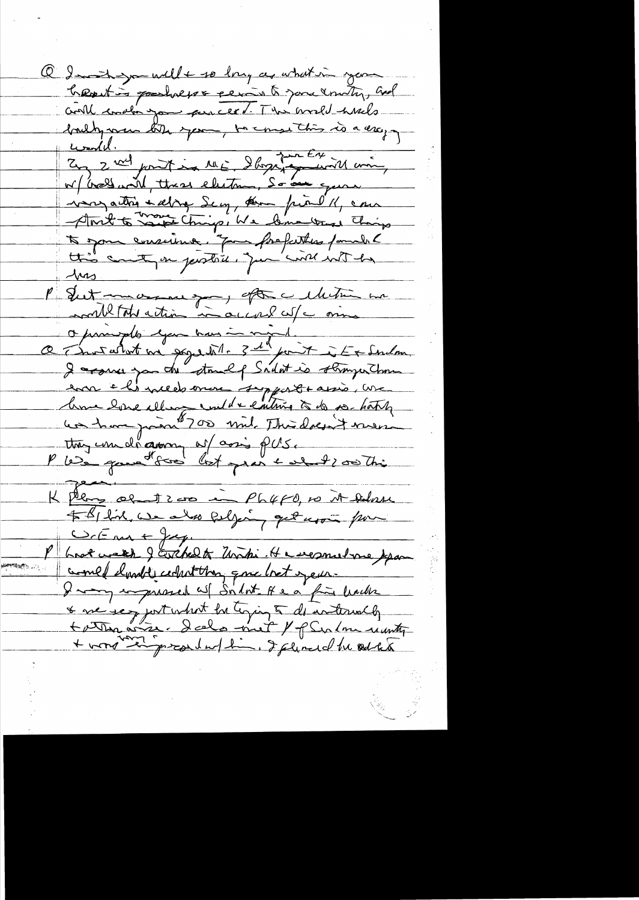Q In the will to long as what in your hearting goodness & period you unity, and could conabin you percent. This world when we brully vous bith your, to consisting is a very von attre selve Secy, som pirel/, en And to range Ching, We Come trust This to some emsurime. Jan forefattes famille Mrs 100 1000 1000 1000 000 noule total action in accord cut comme Oprantiste expansion and the standard I assure you de stand of Sailot is stranger Chome en els needsonne support assis, une home love illege und renting à de se hatch K Pers al 1200 in Ph4F0, 10 it Advance \$ BI fine, we also following get upon from COC me + Jag. P brot week J Erchelt Unti. He separatione par comed dande celestition que bet year I many impressed as Silot. It e à fin limite & me seg jort what he toping to do internally<br>+ vond some dels met / f Serlom recentes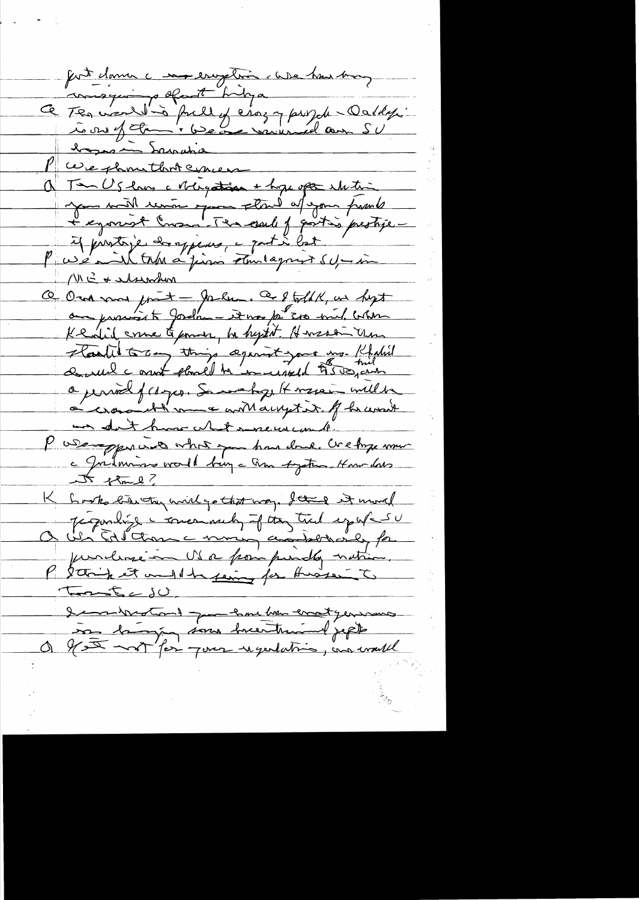fort clama c ma enoption client house pour consquire of theya Ce Tes vauldins fuillet etaz y purple-Daldy. bassion Samulia P we shoutbot concer a Tam Us lans a steigestion + hope open whiting me will review the day from fund 11 G & Mswhin O Ora vous point prement de 8 told K, un hopt Kendid come & pomer, he hystot. Hansson Um Harliet 50mg things against your mg. Rhalid a jeniel frages. Sometry It were will be non don't have what inserve com la. P USA-parcis vhoire par donc créhope une 5 flme? K Look bien milgothet way. I think would Jégondige i monarch J try til egypt su P 2 think it and the feming for Auster to Tous East dementer de pour le me tre en tyens aux on la jou sous succèteur l'appel f .